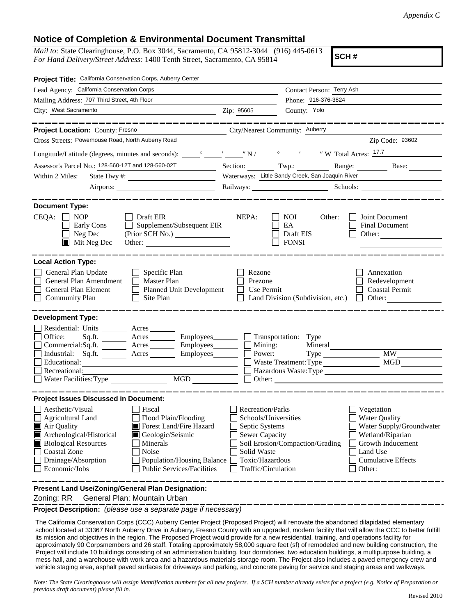## **Notice of Completion & Environmental Document Transmittal**

*Mail to:* State Clearinghouse, P.O. Box 3044, Sacramento, CA 95812-3044 (916) 445-0613 *For Hand Delivery/Street Address:* 1400 Tenth Street, Sacramento, CA 95814

**SCH #**

| Project Title: California Conservation Corps, Auberry Center                                                                                                                                                                                                                                                                                                                                            |                                                                                                                                              |                                                                     |                                                                                                                                                            |  |  |
|---------------------------------------------------------------------------------------------------------------------------------------------------------------------------------------------------------------------------------------------------------------------------------------------------------------------------------------------------------------------------------------------------------|----------------------------------------------------------------------------------------------------------------------------------------------|---------------------------------------------------------------------|------------------------------------------------------------------------------------------------------------------------------------------------------------|--|--|
| Lead Agency: California Conservation Corps                                                                                                                                                                                                                                                                                                                                                              |                                                                                                                                              | Contact Person: Terry Ash                                           |                                                                                                                                                            |  |  |
| Mailing Address: 707 Third Street, 4th Floor                                                                                                                                                                                                                                                                                                                                                            |                                                                                                                                              | Phone: 916-376-3824                                                 |                                                                                                                                                            |  |  |
| City: West Sacramento                                                                                                                                                                                                                                                                                                                                                                                   | County: Yolo<br>Zip: 95605                                                                                                                   |                                                                     |                                                                                                                                                            |  |  |
|                                                                                                                                                                                                                                                                                                                                                                                                         |                                                                                                                                              |                                                                     |                                                                                                                                                            |  |  |
| Project Location: County: Fresno<br>City/Nearest Community: Auberry                                                                                                                                                                                                                                                                                                                                     |                                                                                                                                              |                                                                     |                                                                                                                                                            |  |  |
| Cross Streets: Powerhouse Road, North Auberry Road                                                                                                                                                                                                                                                                                                                                                      |                                                                                                                                              |                                                                     | Zip Code: 93602                                                                                                                                            |  |  |
|                                                                                                                                                                                                                                                                                                                                                                                                         |                                                                                                                                              |                                                                     |                                                                                                                                                            |  |  |
| Assessor's Parcel No.: 128-560-12T and 128-560-02T                                                                                                                                                                                                                                                                                                                                                      |                                                                                                                                              | Section: Twp.: Range: Base: Base:                                   |                                                                                                                                                            |  |  |
| Within 2 Miles:                                                                                                                                                                                                                                                                                                                                                                                         |                                                                                                                                              | Waterways: Little Sandy Creek, San Joaquin River                    |                                                                                                                                                            |  |  |
|                                                                                                                                                                                                                                                                                                                                                                                                         |                                                                                                                                              |                                                                     |                                                                                                                                                            |  |  |
| <b>Document Type:</b><br>$CEQA: \Box NOP$<br>$\Box$ Draft EIR<br>$\Box$ Supplement/Subsequent EIR<br>Early Cons<br>$\Box$ Neg Dec<br>$\blacksquare$ Mit Neg Dec<br>Other:                                                                                                                                                                                                                               | NEPA:                                                                                                                                        | NOI<br>Other:<br>EA<br>Draft EIS<br><b>FONSI</b>                    | Joint Document<br>Final Document<br>Other: $\frac{1}{\sqrt{1-\frac{1}{2}}\cdot\frac{1}{\sqrt{1-\frac{1}{2}}}}$                                             |  |  |
| <b>Local Action Type:</b><br>General Plan Update<br>$\Box$ Specific Plan<br>General Plan Amendment<br>$\Box$ Master Plan<br>General Plan Element<br>Planned Unit Development<br><b>Community Plan</b><br>Site Plan<br>$\mathbf{1}$                                                                                                                                                                      | Rezone<br>Prezone<br>Use Permit                                                                                                              | Land Division (Subdivision, etc.)                                   | Annexation<br>Redevelopment<br><b>Coastal Permit</b><br>$\Box$ Other:                                                                                      |  |  |
| <b>Development Type:</b><br>Residential: Units ________ Acres _____<br>Sq.ft. _________ Acres __________ Employees ________ __ Transportation: Type<br>Office:<br>Commercial:Sq.ft. ________ Acres __________ Employees_________ $\Box$<br>Industrial: Sq.ft. _______ Acres _______ Employees_______ __<br>Educational:<br>Recreational:<br>MGD<br>Water Facilities: Type                               | Mining:<br>Power:                                                                                                                            | Mineral<br>Waste Treatment: Type<br>Hazardous Waste: Type<br>Other: | <b>MW</b><br><b>MGD</b>                                                                                                                                    |  |  |
| <b>Project Issues Discussed in Document:</b><br>Aesthetic/Visual<br>Fiscal<br>Agricultural Land<br>Flood Plain/Flooding<br>Air Quality<br>Forest Land/Fire Hazard<br>Archeological/Historical<br>Geologic/Seismic<br><b>Biological Resources</b><br>Minerals<br><b>Coastal Zone</b><br>Noise<br>Drainage/Absorption<br>Population/Housing Balance<br>Economic/Jobs<br><b>Public Services/Facilities</b> | <b>Recreation/Parks</b><br>Schools/Universities<br>Septic Systems<br>Sewer Capacity<br>Solid Waste<br>Toxic/Hazardous<br>Traffic/Circulation | Soil Erosion/Compaction/Grading                                     | Vegetation<br><b>Water Quality</b><br>Water Supply/Groundwater<br>Wetland/Riparian<br>Growth Inducement<br>Land Use<br><b>Cumulative Effects</b><br>Other: |  |  |
| Present Land Use/Zoning/General Plan Designation:                                                                                                                                                                                                                                                                                                                                                       |                                                                                                                                              |                                                                     |                                                                                                                                                            |  |  |

Zoning: RR General Plan: Mountain Urban

**Project Description:** *(please use a separate page if necessary)*

 The California Conservation Corps (CCC) Auberry Center Project (Proposed Project) will renovate the abandoned dilapidated elementary school located at 33367 North Auberry Drive in Auberry, Fresno County with an upgraded, modern facility that will allow the CCC to better fulfill its mission and objectives in the region. The Proposed Project would provide for a new residential, training, and operations facility for approximately 90 Corpsmembers and 26 staff. Totaling approximately 58,000 square feet (sf) of remodeled and new building construction, the Project will include 10 buildings consisting of an administration building, four dormitories, two education buildings, a multipurpose building, a mess hall, and a warehouse with work area and a hazardous materials storage room. The Project also includes a paved emergency crew and vehicle staging area, asphalt paved surfaces for driveways and parking, and concrete paving for service and staging areas and walkways.

*Note: The State Clearinghouse will assign identification numbers for all new projects. If a SCH number already exists for a project (e.g. Notice of Preparation or previous draft document) please fill in.*